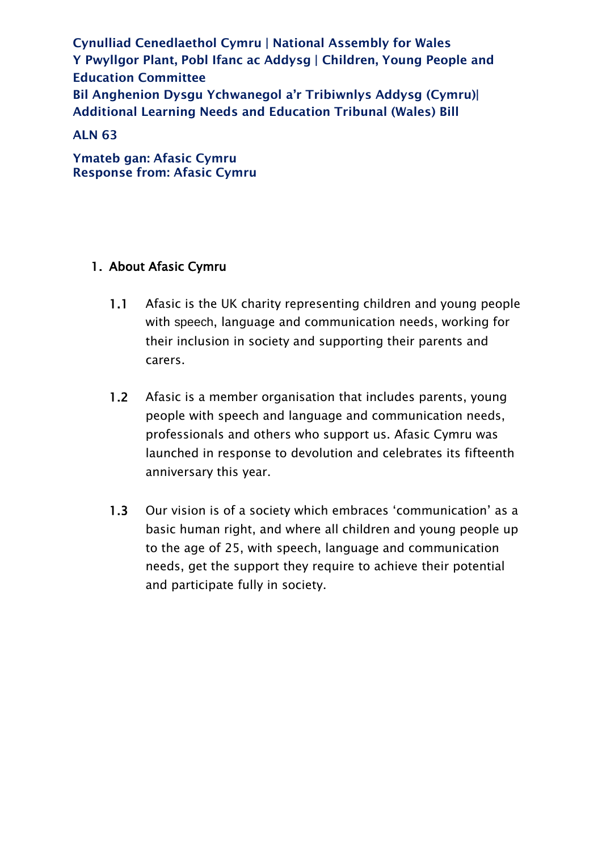Cynulliad Cenedlaethol Cymru | National Assembly for Wales Y Pwyllgor Plant, Pobl Ifanc ac Addysg | Children, Young People and Education Committee Bil Anghenion Dysgu Ychwanegol a'r Tribiwnlys Addysg (Cymru)| Additional Learning Needs and Education Tribunal (Wales) Bill

# ALN 63

Ymateb gan: Afasic Cymru Response from: Afasic Cymru

# 1. About Afasic Cymru

- 1.1 Afasic is the UK charity representing children and young people with speech, language and communication needs, working for their inclusion in society and supporting their parents and carers.
- 1.2 Afasic is a member organisation that includes parents, young people with speech and language and communication needs, professionals and others who support us. Afasic Cymru was launched in response to devolution and celebrates its fifteenth anniversary this year.
- 1.3 Our vision is of a society which embraces 'communication' as a basic human right, and where all children and young people up to the age of 25, with speech, language and communication needs, get the support they require to achieve their potential and participate fully in society.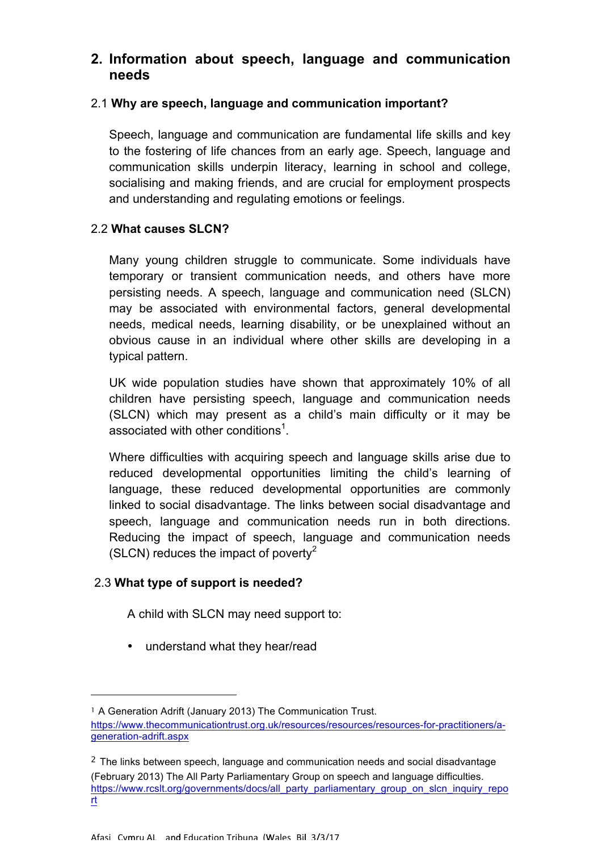# **2. Information about speech, language and communication needs**

#### 2.1 **Why are speech, language and communication important?**

 Speech, language and communication are fundamental life skills and key to the fostering of life chances from an early age. Speech, language and communication skills underpin literacy, learning in school and college, socialising and making friends, and are crucial for employment prospects and understanding and regulating emotions or feelings.

#### 2.2 **What causes SLCN?**

 Many young children struggle to communicate. Some individuals have temporary or transient communication needs, and others have more persisting needs. A speech, language and communication need (SLCN) may be associated with environmental factors, general developmental needs, medical needs, learning disability, or be unexplained without an obvious cause in an individual where other skills are developing in a typical pattern.

 UK wide population studies have shown that approximately 10% of all children have persisting speech, language and communication needs (SLCN) which may present as a child's main difficulty or it may be associated with other conditions<sup>1</sup>.

 Where difficulties with acquiring speech and language skills arise due to reduced developmental opportunities limiting the child's learning of language, these reduced developmental opportunities are commonly linked to social disadvantage. The links between social disadvantage and speech, language and communication needs run in both directions. Reducing the impact of speech, language and communication needs (SLCN) reduces the impact of poverty<sup>2</sup>

# 2.3 **What type of support is needed?**

-

A child with SLCN may need support to:

• understand what they hear/read

<sup>&</sup>lt;sup>1</sup> A Generation Adrift (January 2013) The Communication Trust.

 generation-adrift.aspx https://www.thecommunicationtrust.org.uk/resources/resources/resources-for-practitioners/a-

 $2$  The links between speech, language and communication needs and social disadvantage (February 2013) The All Party Parliamentary Group on speech and language difficulties. https://www.rcslt.org/governments/docs/all\_party\_parliamentary\_group\_on\_slcn\_inquiry\_repo rt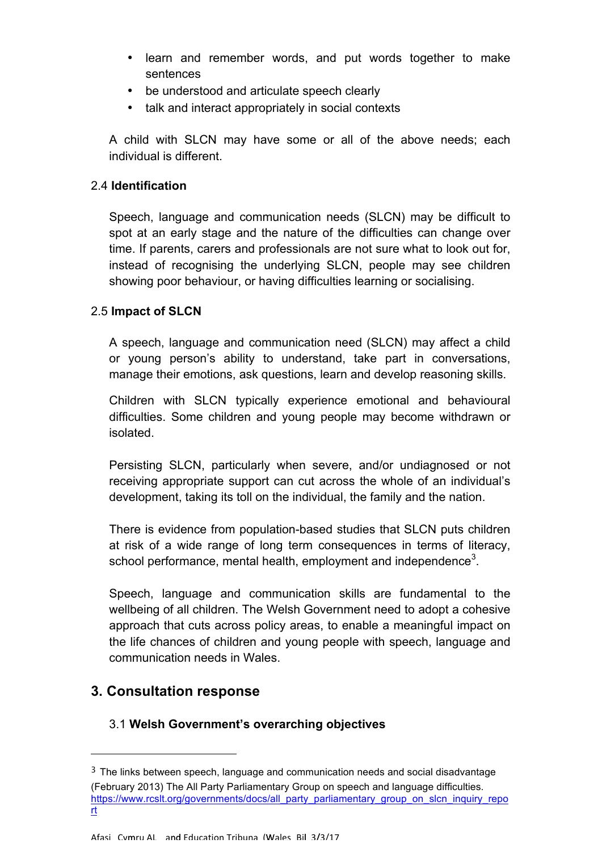- • learn and remember words, and put words together to make sentences
- be understood and articulate speech clearly
- talk and interact appropriately in social contexts

 A child with SLCN may have some or all of the above needs; each individual is different.

# 2.4 **Identification**

 Speech, language and communication needs (SLCN) may be difficult to spot at an early stage and the nature of the difficulties can change over time. If parents, carers and professionals are not sure what to look out for, instead of recognising the underlying SLCN, people may see children showing poor behaviour, or having difficulties learning or socialising.

#### 2.5 **Impact of SLCN**

 A speech, language and communication need (SLCN) may affect a child or young person's ability to understand, take part in conversations, manage their emotions, ask questions, learn and develop reasoning skills.

 Children with SLCN typically experience emotional and behavioural difficulties. Some children and young people may become withdrawn or isolated

isolated.<br>Persisting SLCN, particularly when severe, and/or undiagnosed or not receiving appropriate support can cut across the whole of an individual's development, taking its toll on the individual, the family and the nation.

 There is evidence from population-based studies that SLCN puts children at risk of a wide range of long term consequences in terms of literacy, school performance, mental health, employment and independence<sup>3</sup>.

 Speech, language and communication skills are fundamental to the wellbeing of all children. The Welsh Government need to adopt a cohesive approach that cuts across policy areas, to enable a meaningful impact on the life chances of children and young people with speech, language and communication needs in Wales.

# **3. Consultation response**

-

# 3.1 **Welsh Government's overarching objectives**

 $3$  The links between speech, language and communication needs and social disadvantage (February 2013) The All Party Parliamentary Group on speech and language difficulties. https://www.rcslt.org/governments/docs/all\_party\_parliamentary\_group\_on\_slcn\_inquiry\_repo rt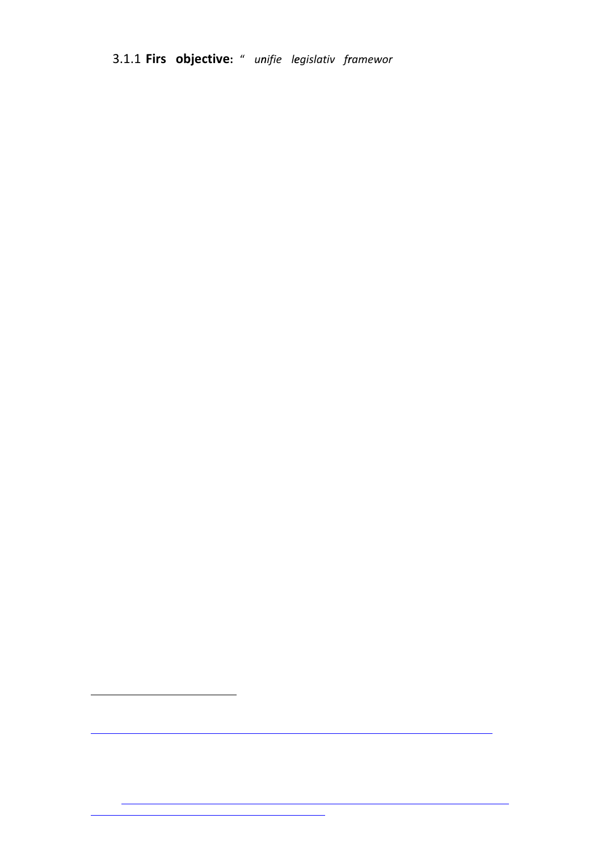3.1.1 **Firs objective:** " *unifie legislativ framewor*

l.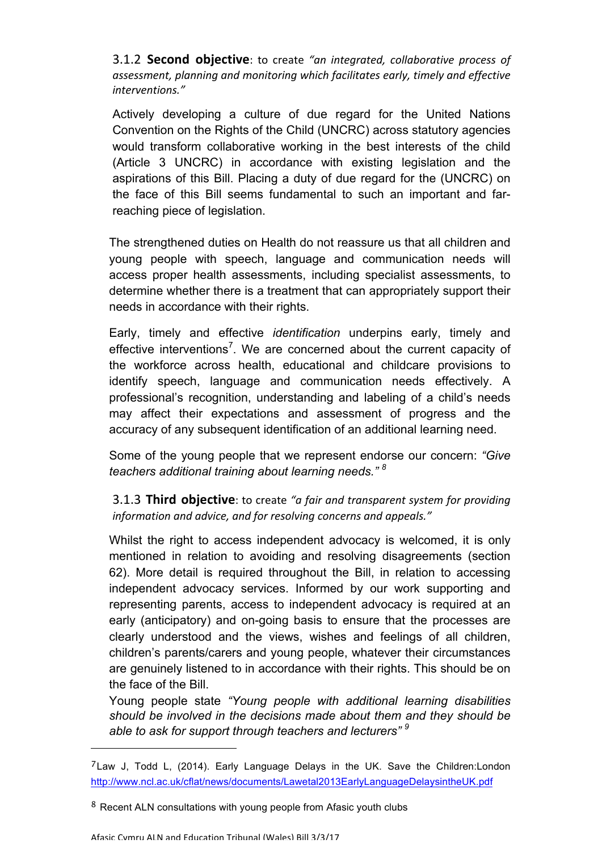**3.1.2 Second objective**: to create "an integrated, collaborative process of *assessment,"planning"and"monitoring"which"facilitates"early,"timely"and"effective" interventions."*

Actively developing a culture of due regard for the United Nations Convention on the Rights of the Child (UNCRC) across statutory agencies would transform collaborative working in the best interests of the child (Article 3 UNCRC) in accordance with existing legislation and the aspirations of this Bill. Placing a duty of due regard for the (UNCRC) on the face of this Bill seems fundamental to such an important and farreaching piece of legislation.

The strengthened duties on Health do not reassure us that all children and young people with speech, language and communication needs will access proper health assessments, including specialist assessments, to determine whether there is a treatment that can appropriately support their needs in accordance with their rights.

Early, timely and effective *identification* underpins early, timely and effective interventions<sup>7</sup>. We are concerned about the current capacity of the workforce across health, educational and childcare provisions to identify speech, language and communication needs effectively. A professional's recognition, understanding and labeling of a child's needs may affect their expectations and assessment of progress and the accuracy of any subsequent identification of an additional learning need.

Some of the young people that we represent endorse our concern: *"Give teachers additional training about learning needs." <sup>8</sup>*

**3.1.3 Third objective**: to create "a fair and transparent system for providing information and advice, and for resolving concerns and appeals."

Whilst the right to access independent advocacy is welcomed, it is only mentioned in relation to avoiding and resolving disagreements (section 62). More detail is required throughout the Bill, in relation to accessing independent advocacy services. Informed by our work supporting and representing parents, access to independent advocacy is required at an early (anticipatory) and on-going basis to ensure that the processes are clearly understood and the views, wishes and feelings of all children, children's parents/carers and young people, whatever their circumstances are genuinely listened to in accordance with their rights. This should be on the face of the Bill.

Young people state *"Young people with additional learning disabilities should be involved in the decisions made about them and they should be able to ask for support through teachers and lecturers" <sup>9</sup>*

 $7$ Law J, Todd L, (2014). Early Language Delays in the UK. Save the Children: London http://www.ncl.ac.uk/cflat/news/documents/Lawetal2013EarlyLanguageDelaysintheUK.pdf

<sup>&</sup>lt;sup>8</sup> Recent ALN consultations with young people from Afasic youth clubs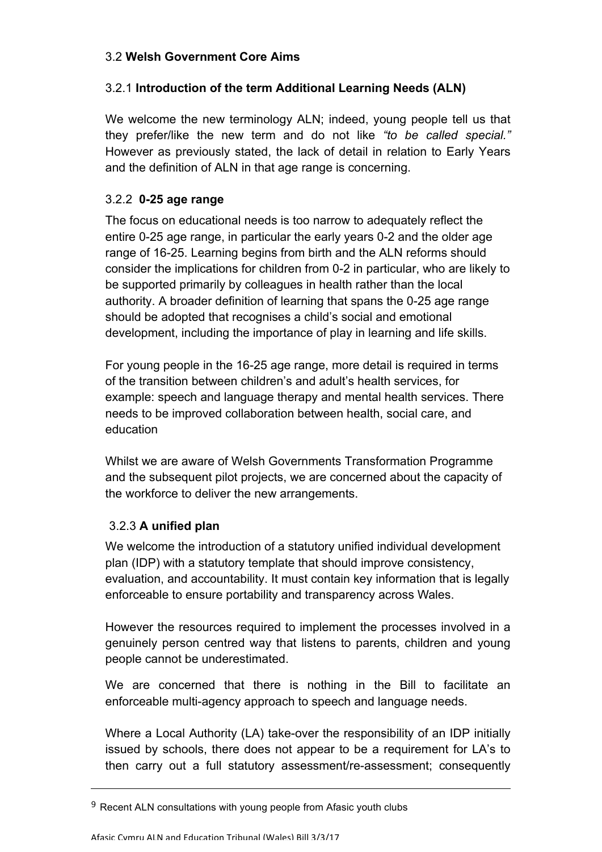#### 3.2 **Welsh Government Core Aims**

# 3.2.1 **Introduction of the term Additional Learning Needs (ALN)**

We welcome the new terminology ALN; indeed, young people tell us that they prefer/like the new term and do not like *"to be called special."*  However as previously stated, the lack of detail in relation to Early Years and the definition of ALN in that age range is concerning.

# 3.2.2 **0-25 age range**

The focus on educational needs is too narrow to adequately reflect the entire 0-25 age range, in particular the early years 0-2 and the older age range of 16-25. Learning begins from birth and the ALN reforms should consider the implications for children from 0-2 in particular, who are likely to be supported primarily by colleagues in health rather than the local authority. A broader definition of learning that spans the 0-25 age range should be adopted that recognises a child's social and emotional development, including the importance of play in learning and life skills.

For young people in the 16-25 age range, more detail is required in terms of the transition between children's and adult's health services, for example: speech and language therapy and mental health services. There needs to be improved collaboration between health, social care, and education

Whilst we are aware of Welsh Governments Transformation Programme and the subsequent pilot projects, we are concerned about the capacity of the workforce to deliver the new arrangements.

# 3.2.3 **A unified plan**

-

We welcome the introduction of a statutory unified individual development plan (IDP) with a statutory template that should improve consistency, evaluation, and accountability. It must contain key information that is legally enforceable to ensure portability and transparency across Wales.

However the resources required to implement the processes involved in a genuinely person centred way that listens to parents, children and young people cannot be underestimated.

We are concerned that there is nothing in the Bill to facilitate an enforceable multi-agency approach to speech and language needs.

Where a Local Authority (LA) take-over the responsibility of an IDP initially issued by schools, there does not appear to be a requirement for LA's to then carry out a full statutory assessment/re-assessment; consequently

 $9$  Recent ALN consultations with young people from Afasic youth clubs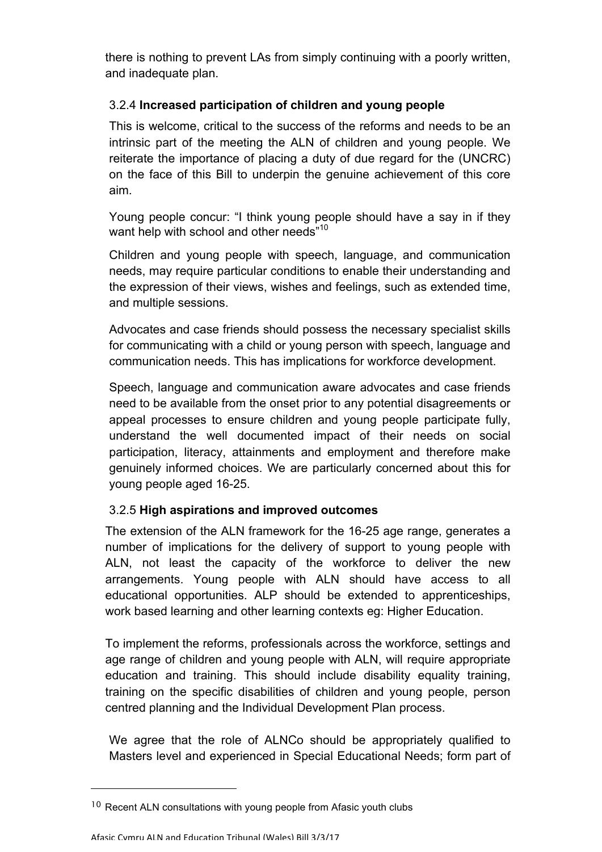there is nothing to prevent LAs from simply continuing with a poorly written, and inadequate plan.

# 3.2.4 **Increased participation of children and young people**

This is welcome, critical to the success of the reforms and needs to be an intrinsic part of the meeting the ALN of children and young people. We reiterate the importance of placing a duty of due regard for the (UNCRC) on the face of this Bill to underpin the genuine achievement of this core aim.

Young people concur: "I think young people should have a say in if they want help with school and other needs"<sup>10</sup>

Children and young people with speech, language, and communication needs, may require particular conditions to enable their understanding and the expression of their views, wishes and feelings, such as extended time, and multiple sessions.

Advocates and case friends should possess the necessary specialist skills for communicating with a child or young person with speech, language and communication needs. This has implications for workforce development.

Speech, language and communication aware advocates and case friends need to be available from the onset prior to any potential disagreements or appeal processes to ensure children and young people participate fully, understand the well documented impact of their needs on social participation, literacy, attainments and employment and therefore make genuinely informed choices. We are particularly concerned about this for young people aged 16-25.

# 3.2.5 **High aspirations and improved outcomes**

The extension of the ALN framework for the 16-25 age range, generates a number of implications for the delivery of support to young people with ALN, not least the capacity of the workforce to deliver the new arrangements. Young people with ALN should have access to all educational opportunities. ALP should be extended to apprenticeships, work based learning and other learning contexts eg: Higher Education.

To implement the reforms, professionals across the workforce, settings and age range of children and young people with ALN, will require appropriate education and training. This should include disability equality training, training on the specific disabilities of children and young people, person centred planning and the Individual Development Plan process.

We agree that the role of ALNCo should be appropriately qualified to Masters level and experienced in Special Educational Needs; form part of

<sup>&</sup>lt;sup>10</sup> Recent ALN consultations with young people from Afasic youth clubs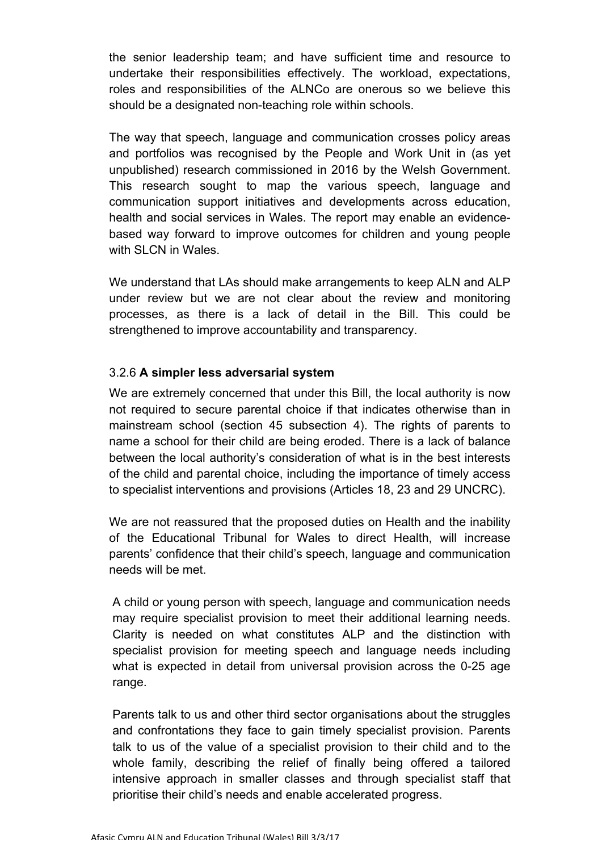the senior leadership team; and have sufficient time and resource to undertake their responsibilities effectively. The workload, expectations, roles and responsibilities of the ALNCo are onerous so we believe this should be a designated non-teaching role within schools.

The way that speech, language and communication crosses policy areas and portfolios was recognised by the People and Work Unit in (as yet unpublished) research commissioned in 2016 by the Welsh Government. This research sought to map the various speech, language and communication support initiatives and developments across education, health and social services in Wales. The report may enable an evidencebased way forward to improve outcomes for children and young people with SLCN in Wales.

We understand that LAs should make arrangements to keep ALN and ALP under review but we are not clear about the review and monitoring processes, as there is a lack of detail in the Bill. This could be strengthened to improve accountability and transparency.

#### 3.2.6 **A simpler less adversarial system**

We are extremely concerned that under this Bill, the local authority is now not required to secure parental choice if that indicates otherwise than in mainstream school (section 45 subsection 4). The rights of parents to name a school for their child are being eroded. There is a lack of balance between the local authority's consideration of what is in the best interests of the child and parental choice, including the importance of timely access to specialist interventions and provisions (Articles 18, 23 and 29 UNCRC).

We are not reassured that the proposed duties on Health and the inability of the Educational Tribunal for Wales to direct Health, will increase parents' confidence that their child's speech, language and communication needs will be met.

A child or young person with speech, language and communication needs may require specialist provision to meet their additional learning needs. Clarity is needed on what constitutes ALP and the distinction with specialist provision for meeting speech and language needs including what is expected in detail from universal provision across the 0-25 age range.

Parents talk to us and other third sector organisations about the struggles and confrontations they face to gain timely specialist provision. Parents talk to us of the value of a specialist provision to their child and to the whole family, describing the relief of finally being offered a tailored intensive approach in smaller classes and through specialist staff that prioritise their child's needs and enable accelerated progress.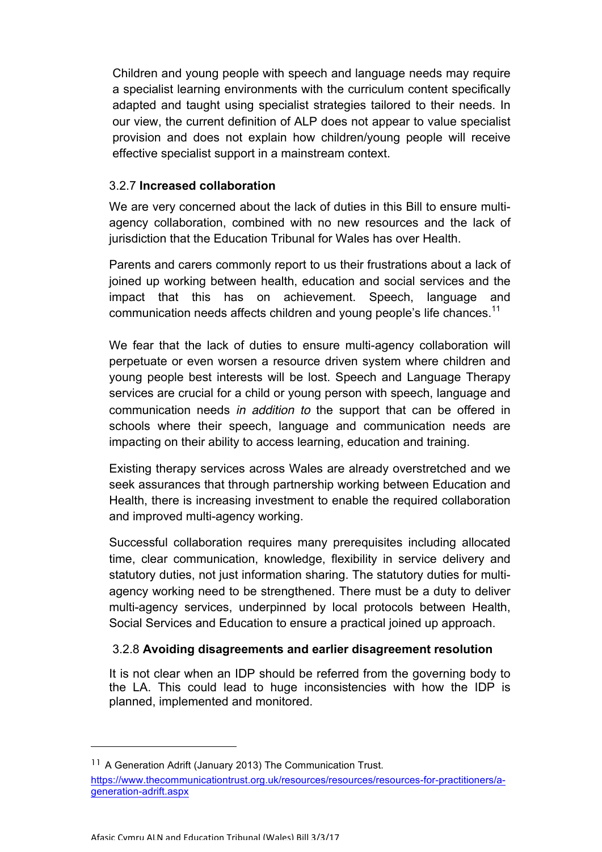Children and young people with speech and language needs may require a specialist learning environments with the curriculum content specifically adapted and taught using specialist strategies tailored to their needs. In our view, the current definition of ALP does not appear to value specialist provision and does not explain how children/young people will receive effective specialist support in a mainstream context.

#### 3.2.7 **Increased collaboration**

We are very concerned about the lack of duties in this Bill to ensure multiagency collaboration, combined with no new resources and the lack of jurisdiction that the Education Tribunal for Wales has over Health.

Parents and carers commonly report to us their frustrations about a lack of joined up working between health, education and social services and the impact that this has on achievement. Speech, language and communication needs affects children and young people's life chances.<sup>11</sup>

We fear that the lack of duties to ensure multi-agency collaboration will perpetuate or even worsen a resource driven system where children and young people best interests will be lost. Speech and Language Therapy services are crucial for a child or young person with speech, language and communication needs *in addition to* the support that can be offered in schools where their speech, language and communication needs are impacting on their ability to access learning, education and training.

Existing therapy services across Wales are already overstretched and we seek assurances that through partnership working between Education and Health, there is increasing investment to enable the required collaboration and improved multi-agency working.

Successful collaboration requires many prerequisites including allocated time, clear communication, knowledge, flexibility in service delivery and statutory duties, not just information sharing. The statutory duties for multiagency working need to be strengthened. There must be a duty to deliver multi-agency services, underpinned by local protocols between Health, Social Services and Education to ensure a practical joined up approach.

#### 3.2.8 **Avoiding disagreements and earlier disagreement resolution**

It is not clear when an IDP should be referred from the governing body to the LA. This could lead to huge inconsistencies with how the IDP is planned, implemented and monitored.

<sup>&</sup>lt;sup>11</sup> A Generation Adrift (January 2013) The Communication Trust.

https://www.thecommunicationtrust.org.uk/resources/resources/resources-for-practitioners/ageneration-adrift.aspx